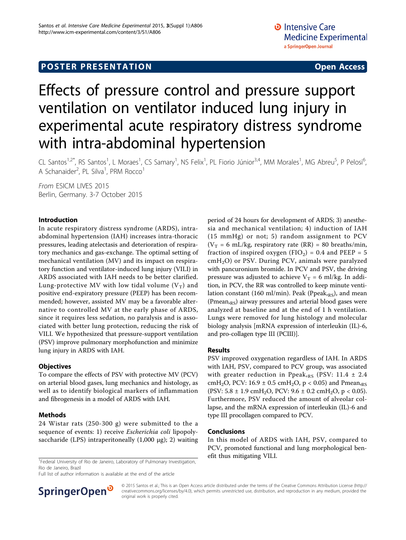# Effects of pressure control and pressure support ventilation on ventilator induced lung injury in experimental acute respiratory distress syndrome with intra-abdominal hypertension

CL Santos<sup>1,2\*</sup>, RS Santos<sup>1</sup>, L Moraes<sup>1</sup>, CS Samary<sup>1</sup>, NS Felix<sup>1</sup>, PL Fiorio Júnior<sup>3,4</sup>, MM Morales<sup>1</sup>, MG Abreu<sup>5</sup>, P Pelosi<sup>6</sup> י<br>, A Schanaider<sup>2</sup>, PL Silva<sup>1</sup>, PRM Rocco<sup>1</sup>

From ESICM LIVES 2015 Berlin, Germany. 3-7 October 2015

## Introduction

In acute respiratory distress syndrome (ARDS), intraabdominal hypertension (IAH) increases intra-thoracic pressures, leading atelectasis and deterioration of respiratory mechanics and gas-exchange. The optimal setting of mechanical ventilation (MV) and its impact on respiratory function and ventilator-induced lung injury (VILI) in ARDS associated with IAH needs to be better clarified. Lung-protective MV with low tidal volume  $(V_T)$  and positive end-expiratory pressure (PEEP) has been recommended; however, assisted MV may be a favorable alternative to controlled MV at the early phase of ARDS, since it requires less sedation, no paralysis and is associated with better lung protection, reducing the risk of VILI. We hypothesized that pressure-support ventilation (PSV) improve pulmonary morphofunction and minimize lung injury in ARDS with IAH.

# **Objectives**

To compare the effects of PSV with protective MV (PCV) on arterial blood gases, lung mechanics and histology, as well as to identify biological markers of inflammation and fibrogenesis in a model of ARDS with IAH.

# Methods

24 Wistar rats (250-300 g) were submitted to the a sequence of events: 1) receive Escherichia coli lipopolysaccharide (LPS) intraperitoneally  $(1,000 \mu g)$ ; 2) waiting

<sup>1</sup> Federal University of Rio de Janeiro, Laboratory of Pulmonary Investigation, **efit thus mitigating VILI.** Rio de Janeiro, Brazil

Full list of author information is available at the end of the article



period of 24 hours for development of ARDS; 3) anesthesia and mechanical ventilation; 4) induction of IAH (15 mmHg) or not; 5) random assignment to PCV ( $V_T$  = 6 mL/kg, respiratory rate (RR) = 80 breaths/min, fraction of inspired oxygen (FIO<sub>2</sub>) = 0.4 and PEEP = 5  $cmH<sub>2</sub>O$ ) or PSV. During PCV, animals were paralyzed with pancuronium bromide. In PCV and PSV, the driving pressure was adjusted to achieve  $V_T = 6$  ml/kg. In addition, in PCV, the RR was controlled to keep minute ventilation constant (160 ml/min). Peak (Ppeak, $_{RS}$ ), and mean (Pmean<sub>,RS</sub>) airway pressures and arterial blood gases were analyzed at baseline and at the end of 1 h ventilation. Lungs were removed for lung histology and molecular biology analysis [mRNA expression of interleukin (IL)-6, and pro-collagen type III (PCIII)].

# Results

PSV improved oxygenation regardless of IAH. In ARDS with IAH, PSV, compared to PCV group, was associated with greater reduction in Ppeak, $_{RS}$  (PSV: 11.4  $\pm$  2.4 cmH<sub>2</sub>O, PCV: 16.9  $\pm$  0.5 cmH<sub>2</sub>O, p < 0.05) and Pmean<sub>,RS</sub> (PSV:  $5.8 \pm 1.9 \text{ cm}$ H<sub>2</sub>O, PCV:  $9.6 \pm 0.2 \text{ cm}$ H<sub>2</sub>O, p < 0.05). Furthermore, PSV reduced the amount of alveolar collapse, and the mRNA expression of interleukin (IL)-6 and type III procollagen compared to PCV.

## Conclusions

In this model of ARDS with IAH, PSV, compared to PCV, promoted functional and lung morphological ben-

© 2015 Santos et al.; This is an Open Access article distributed under the terms of the Creative Commons Attribution License [\(http://](http://creativecommons.org/licenses/by/4.0) [creativecommons.org/licenses/by/4.0](http://creativecommons.org/licenses/by/4.0)), which permits unrestricted use, distribution, and reproduction in any medium, provided the original work is properly cited.